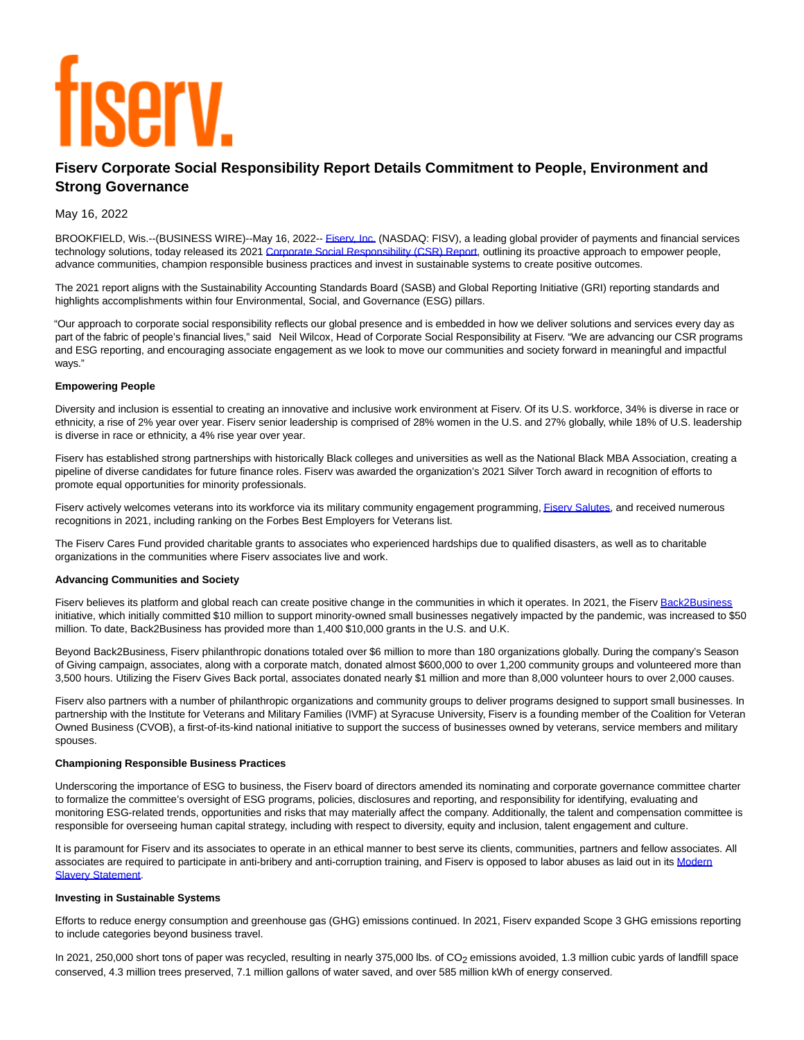# **TISEIV**

# **Fiserv Corporate Social Responsibility Report Details Commitment to People, Environment and Strong Governance**

## May 16, 2022

BROOKFIELD, Wis.--(BUSINESS WIRE)--May 16, 2022-- *Eisery, Inc.* (NASDAQ: FISV), a leading global provider of payments and financial services technology solutions, today released its 2021 [Corporate Social Responsibility \(CSR\) Report,](https://cts.businesswire.com/ct/CT?id=smartlink&url=https%3A%2F%2Ffiserv-csrreport.com%2F&esheet=52720023&newsitemid=20220516005355&lan=en-US&anchor=Corporate+Social+Responsibility+%28CSR%29+Report&index=2&md5=0cb4ccb80ffb142c25f5a665505c2bf9) outlining its proactive approach to empower people, advance communities, champion responsible business practices and invest in sustainable systems to create positive outcomes.

The 2021 report aligns with the Sustainability Accounting Standards Board (SASB) and Global Reporting Initiative (GRI) reporting standards and highlights accomplishments within four Environmental, Social, and Governance (ESG) pillars.

"Our approach to corporate social responsibility reflects our global presence and is embedded in how we deliver solutions and services every day as part of the fabric of people's financial lives," said Neil Wilcox, Head of Corporate Social Responsibility at Fiserv. "We are advancing our CSR programs and ESG reporting, and encouraging associate engagement as we look to move our communities and society forward in meaningful and impactful ways."

### **Empowering People**

Diversity and inclusion is essential to creating an innovative and inclusive work environment at Fiserv. Of its U.S. workforce, 34% is diverse in race or ethnicity, a rise of 2% year over year. Fiserv senior leadership is comprised of 28% women in the U.S. and 27% globally, while 18% of U.S. leadership is diverse in race or ethnicity, a 4% rise year over year.

Fiserv has established strong partnerships with historically Black colleges and universities as well as the National Black MBA Association, creating a pipeline of diverse candidates for future finance roles. Fiserv was awarded the organization's 2021 Silver Torch award in recognition of efforts to promote equal opportunities for minority professionals.

Fiserv actively welcomes veterans into its workforce via its military community engagement programming, Fisery Salutes, and received numerous recognitions in 2021, including ranking on the Forbes Best Employers for Veterans list.

The Fiserv Cares Fund provided charitable grants to associates who experienced hardships due to qualified disasters, as well as to charitable organizations in the communities where Fiserv associates live and work.

### **Advancing Communities and Society**

Fiserv believes its platform and global reach can create positive change in the communities in which it operates. In 2021, the Fiserv [Back2Business](https://cts.businesswire.com/ct/CT?id=smartlink&url=https%3A%2F%2Fwww.fiserv.com%2Fen%2Flp%2Fback2business.html&esheet=52720023&newsitemid=20220516005355&lan=en-US&anchor=Back2Business&index=4&md5=87aec1ba2dd3c29b0ab3d7fe44a88804) initiative, which initially committed \$10 million to support minority-owned small businesses negatively impacted by the pandemic, was increased to \$50 million. To date, Back2Business has provided more than 1,400 \$10,000 grants in the U.S. and U.K.

Beyond Back2Business, Fiserv philanthropic donations totaled over \$6 million to more than 180 organizations globally. During the company's Season of Giving campaign, associates, along with a corporate match, donated almost \$600,000 to over 1,200 community groups and volunteered more than 3,500 hours. Utilizing the Fiserv Gives Back portal, associates donated nearly \$1 million and more than 8,000 volunteer hours to over 2,000 causes.

Fiserv also partners with a number of philanthropic organizations and community groups to deliver programs designed to support small businesses. In partnership with the Institute for Veterans and Military Families (IVMF) at Syracuse University, Fiserv is a founding member of the Coalition for Veteran Owned Business (CVOB), a first-of-its-kind national initiative to support the success of businesses owned by veterans, service members and military spouses.

### **Championing Responsible Business Practices**

Underscoring the importance of ESG to business, the Fiserv board of directors amended its nominating and corporate governance committee charter to formalize the committee's oversight of ESG programs, policies, disclosures and reporting, and responsibility for identifying, evaluating and monitoring ESG-related trends, opportunities and risks that may materially affect the company. Additionally, the talent and compensation committee is responsible for overseeing human capital strategy, including with respect to diversity, equity and inclusion, talent engagement and culture.

It is paramount for Fiserv and its associates to operate in an ethical manner to best serve its clients, communities, partners and fellow associates. All associates are required to participate in anti-bribery and anti-corruption training, and Fiserv is opposed to labor abuses as laid out in its [Modern](https://cts.businesswire.com/ct/CT?id=smartlink&url=https%3A%2F%2Fwww.fiserv.com%2Fen%2Flegal%2Fmodern-slavery-statement.html%3Frdf%3D%2Fen%2Fabout-fiserv%2Fuk-modern-slavery-act-statement.html%26rdc%3D2021-06-29%26rdr%3D2021-12-29&esheet=52720023&newsitemid=20220516005355&lan=en-US&anchor=Modern+Slavery+Statement&index=5&md5=e80c5d5303b591dd191e3adcdeff9992) Slavery Statement.

### **Investing in Sustainable Systems**

Efforts to reduce energy consumption and greenhouse gas (GHG) emissions continued. In 2021, Fiserv expanded Scope 3 GHG emissions reporting to include categories beyond business travel.

In 2021, 250,000 short tons of paper was recycled, resulting in nearly 375,000 lbs. of CO<sub>2</sub> emissions avoided, 1.3 million cubic yards of landfill space conserved, 4.3 million trees preserved, 7.1 million gallons of water saved, and over 585 million kWh of energy conserved.